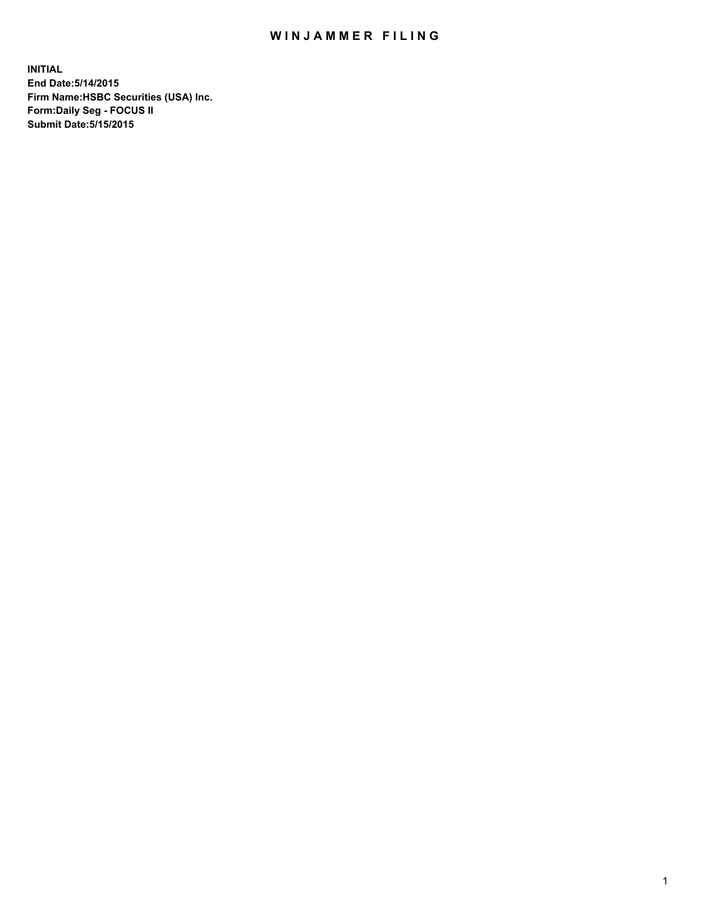## WIN JAMMER FILING

**INITIAL End Date:5/14/2015 Firm Name:HSBC Securities (USA) Inc. Form:Daily Seg - FOCUS II Submit Date:5/15/2015**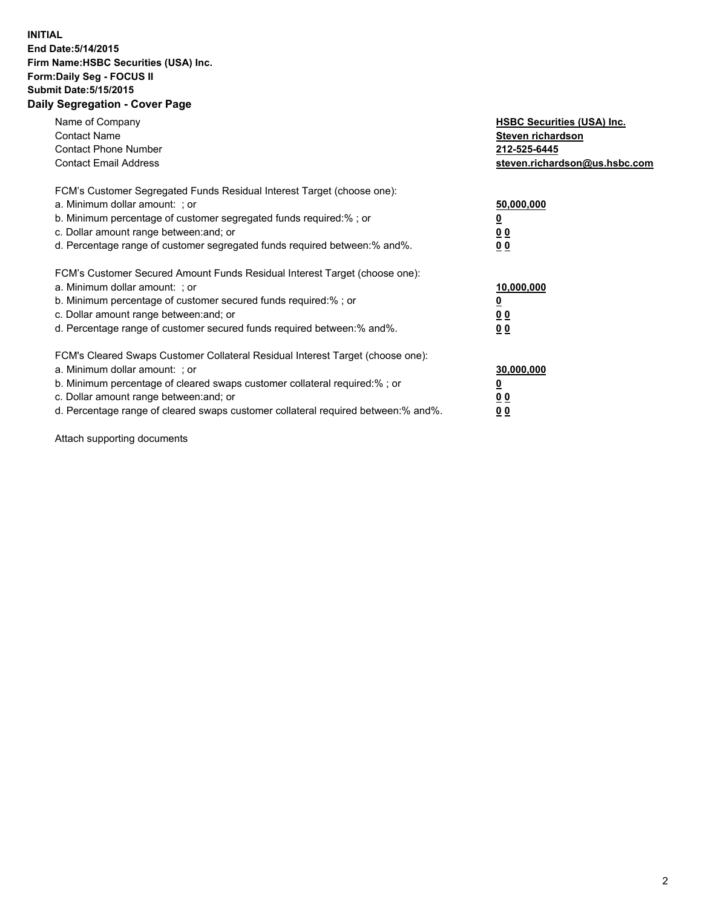## **INITIAL End Date:5/14/2015 Firm Name:HSBC Securities (USA) Inc. Form:Daily Seg - FOCUS II Submit Date:5/15/2015 Daily Segregation - Cover Page**

| Name of Company<br><b>Contact Name</b><br><b>Contact Phone Number</b><br><b>Contact Email Address</b>                                                                                                                                                                                                                          | <b>HSBC Securities (USA) Inc.</b><br>Steven richardson<br>212-525-6445<br>steven.richardson@us.hsbc.com |
|--------------------------------------------------------------------------------------------------------------------------------------------------------------------------------------------------------------------------------------------------------------------------------------------------------------------------------|---------------------------------------------------------------------------------------------------------|
| FCM's Customer Segregated Funds Residual Interest Target (choose one):<br>a. Minimum dollar amount: ; or<br>b. Minimum percentage of customer segregated funds required:%; or<br>c. Dollar amount range between: and; or<br>d. Percentage range of customer segregated funds required between: % and %.                        | 50,000,000<br>0 <sub>0</sub><br>0 <sub>0</sub>                                                          |
| FCM's Customer Secured Amount Funds Residual Interest Target (choose one):<br>a. Minimum dollar amount: ; or<br>b. Minimum percentage of customer secured funds required:%; or<br>c. Dollar amount range between: and; or<br>d. Percentage range of customer secured funds required between:% and%.                            | 10,000,000<br><u>0</u><br>0 <sub>0</sub><br>0 <sub>0</sub>                                              |
| FCM's Cleared Swaps Customer Collateral Residual Interest Target (choose one):<br>a. Minimum dollar amount: ; or<br>b. Minimum percentage of cleared swaps customer collateral required:% ; or<br>c. Dollar amount range between: and; or<br>d. Percentage range of cleared swaps customer collateral required between:% and%. | 30,000,000<br>00<br><u>00</u>                                                                           |

Attach supporting documents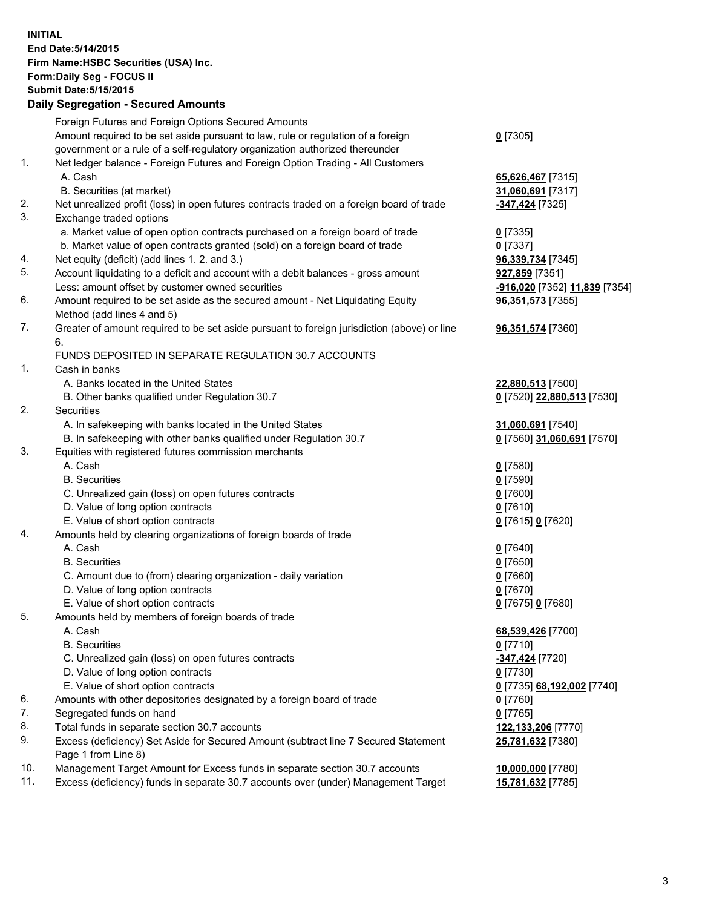**INITIAL End Date:5/14/2015 Firm Name:HSBC Securities (USA) Inc. Form:Daily Seg - FOCUS II Submit Date:5/15/2015 Daily Segregation - Secured Amounts**

Foreign Futures and Foreign Options Secured Amounts Amount required to be set aside pursuant to law, rule or regulation of a foreign government or a rule of a self-regulatory organization authorized thereunder **0** [7305] 1. Net ledger balance - Foreign Futures and Foreign Option Trading - All Customers A. Cash **65,626,467** [7315] B. Securities (at market) **31,060,691** [7317] 2. Net unrealized profit (loss) in open futures contracts traded on a foreign board of trade **-347,424** [7325] 3. Exchange traded options a. Market value of open option contracts purchased on a foreign board of trade **0** [7335] b. Market value of open contracts granted (sold) on a foreign board of trade **0** [7337] 4. Net equity (deficit) (add lines 1. 2. and 3.) **96,339,734** [7345] 5. Account liquidating to a deficit and account with a debit balances - gross amount **927,859** [7351] Less: amount offset by customer owned securities **-916,020** [7352] **11,839** [7354] 6. Amount required to be set aside as the secured amount - Net Liquidating Equity Method (add lines 4 and 5) **96,351,573** [7355] 7. Greater of amount required to be set aside pursuant to foreign jurisdiction (above) or line 6. **96,351,574** [7360] FUNDS DEPOSITED IN SEPARATE REGULATION 30.7 ACCOUNTS 1. Cash in banks A. Banks located in the United States **22,880,513** [7500] B. Other banks qualified under Regulation 30.7 **0** [7520] **22,880,513** [7530] 2. Securities A. In safekeeping with banks located in the United States **31,060,691** [7540] B. In safekeeping with other banks qualified under Regulation 30.7 **0** [7560] **31,060,691** [7570] 3. Equities with registered futures commission merchants A. Cash **0** [7580] B. Securities **0** [7590] C. Unrealized gain (loss) on open futures contracts **0** [7600] D. Value of long option contracts **0** [7610] E. Value of short option contracts **0** [7615] **0** [7620] 4. Amounts held by clearing organizations of foreign boards of trade A. Cash **0** [7640] B. Securities **0** [7650] C. Amount due to (from) clearing organization - daily variation **0** [7660] D. Value of long option contracts **0** [7670] E. Value of short option contracts **0** [7675] **0** [7680] 5. Amounts held by members of foreign boards of trade A. Cash **68,539,426** [7700] B. Securities **0** [7710] C. Unrealized gain (loss) on open futures contracts **-347,424** [7720] D. Value of long option contracts **0** [7730] E. Value of short option contracts **0** [7735] **68,192,002** [7740] 6. Amounts with other depositories designated by a foreign board of trade **0** [7760] 7. Segregated funds on hand **0** [7765] 8. Total funds in separate section 30.7 accounts **122,133,206** [7770] 9. Excess (deficiency) Set Aside for Secured Amount (subtract line 7 Secured Statement Page 1 from Line 8) **25,781,632** [7380] 10. Management Target Amount for Excess funds in separate section 30.7 accounts **10,000,000** [7780] 11. Excess (deficiency) funds in separate 30.7 accounts over (under) Management Target **15,781,632** [7785]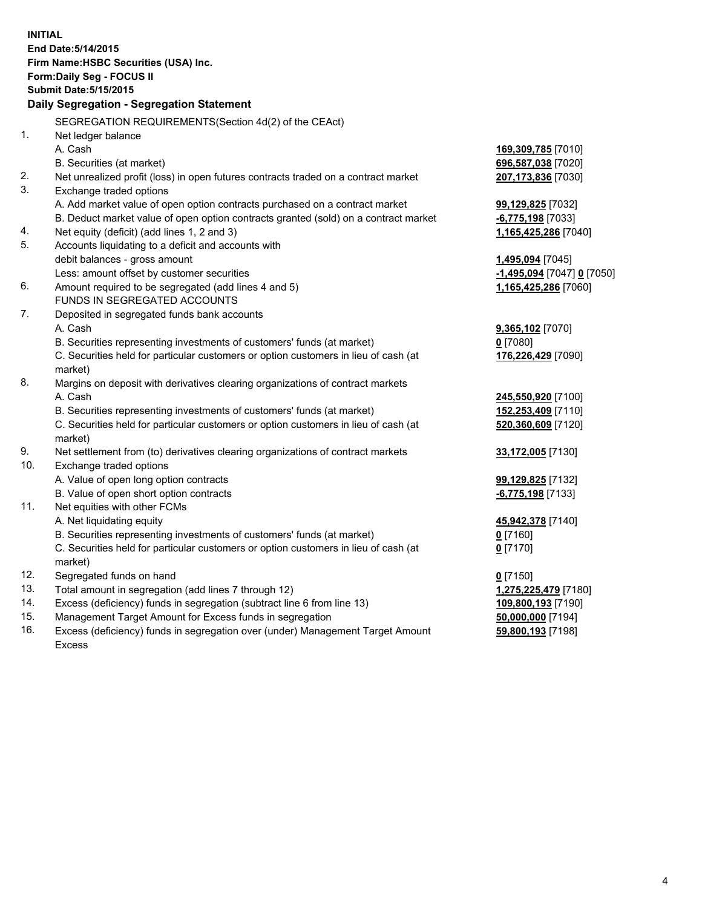|                                       | <b>INITIAL</b>                                                                      |                            |  |  |  |  |
|---------------------------------------|-------------------------------------------------------------------------------------|----------------------------|--|--|--|--|
| End Date: 5/14/2015                   |                                                                                     |                            |  |  |  |  |
| Firm Name: HSBC Securities (USA) Inc. |                                                                                     |                            |  |  |  |  |
|                                       | Form: Daily Seg - FOCUS II                                                          |                            |  |  |  |  |
|                                       | <b>Submit Date: 5/15/2015</b>                                                       |                            |  |  |  |  |
|                                       | Daily Segregation - Segregation Statement                                           |                            |  |  |  |  |
|                                       | SEGREGATION REQUIREMENTS(Section 4d(2) of the CEAct)                                |                            |  |  |  |  |
| 1.                                    | Net ledger balance                                                                  |                            |  |  |  |  |
|                                       | A. Cash                                                                             | 169,309,785 [7010]         |  |  |  |  |
|                                       | B. Securities (at market)                                                           | 696,587,038 [7020]         |  |  |  |  |
| 2.                                    | Net unrealized profit (loss) in open futures contracts traded on a contract market  | 207,173,836 [7030]         |  |  |  |  |
| 3.                                    | Exchange traded options                                                             |                            |  |  |  |  |
|                                       | A. Add market value of open option contracts purchased on a contract market         | 99,129,825 [7032]          |  |  |  |  |
|                                       | B. Deduct market value of open option contracts granted (sold) on a contract market | -6,775,198 [7033]          |  |  |  |  |
| 4.                                    | Net equity (deficit) (add lines 1, 2 and 3)                                         | 1,165,425,286 [7040]       |  |  |  |  |
| 5.                                    | Accounts liquidating to a deficit and accounts with                                 |                            |  |  |  |  |
|                                       | debit balances - gross amount                                                       | 1,495,094 [7045]           |  |  |  |  |
|                                       | Less: amount offset by customer securities                                          | -1,495,094 [7047] 0 [7050] |  |  |  |  |
| 6.                                    | Amount required to be segregated (add lines 4 and 5)                                | 1,165,425,286 [7060]       |  |  |  |  |
|                                       | FUNDS IN SEGREGATED ACCOUNTS                                                        |                            |  |  |  |  |
| 7.                                    | Deposited in segregated funds bank accounts                                         |                            |  |  |  |  |
|                                       | A. Cash                                                                             | 9,365,102 [7070]           |  |  |  |  |
|                                       | B. Securities representing investments of customers' funds (at market)              | $0$ [7080]                 |  |  |  |  |
|                                       | C. Securities held for particular customers or option customers in lieu of cash (at | 176,226,429 [7090]         |  |  |  |  |
|                                       | market)                                                                             |                            |  |  |  |  |
| 8.                                    | Margins on deposit with derivatives clearing organizations of contract markets      |                            |  |  |  |  |
|                                       | A. Cash                                                                             | 245,550,920 [7100]         |  |  |  |  |
|                                       | B. Securities representing investments of customers' funds (at market)              | 152,253,409 [7110]         |  |  |  |  |
|                                       | C. Securities held for particular customers or option customers in lieu of cash (at | 520,360,609 [7120]         |  |  |  |  |
|                                       | market)                                                                             |                            |  |  |  |  |
| 9.                                    | Net settlement from (to) derivatives clearing organizations of contract markets     | 33,172,005 [7130]          |  |  |  |  |
| 10.                                   | Exchange traded options                                                             |                            |  |  |  |  |
|                                       | A. Value of open long option contracts                                              | 99,129,825 [7132]          |  |  |  |  |
|                                       | B. Value of open short option contracts                                             | -6,775,198 [7133]          |  |  |  |  |
| 11.                                   | Net equities with other FCMs                                                        |                            |  |  |  |  |
|                                       | A. Net liquidating equity                                                           | 45,942,378 [7140]          |  |  |  |  |
|                                       | B. Securities representing investments of customers' funds (at market)              | $0$ [7160]                 |  |  |  |  |
|                                       | C. Securities held for particular customers or option customers in lieu of cash (at | $0$ [7170]                 |  |  |  |  |
|                                       | market)                                                                             |                            |  |  |  |  |
| 12.                                   | Segregated funds on hand                                                            | $0$ [7150]                 |  |  |  |  |
| 13.                                   | Total amount in segregation (add lines 7 through 12)                                | 1,275,225,479 [7180]       |  |  |  |  |
| 14.                                   | Excess (deficiency) funds in segregation (subtract line 6 from line 13)             | 109,800,193 [7190]         |  |  |  |  |
| 15.                                   | Management Target Amount for Excess funds in segregation                            | 50,000,000 [7194]          |  |  |  |  |
| 16.                                   | Excess (deficiency) funds in segregation over (under) Management Target Amount      | 59,800,193 [7198]          |  |  |  |  |
|                                       | Excess                                                                              |                            |  |  |  |  |